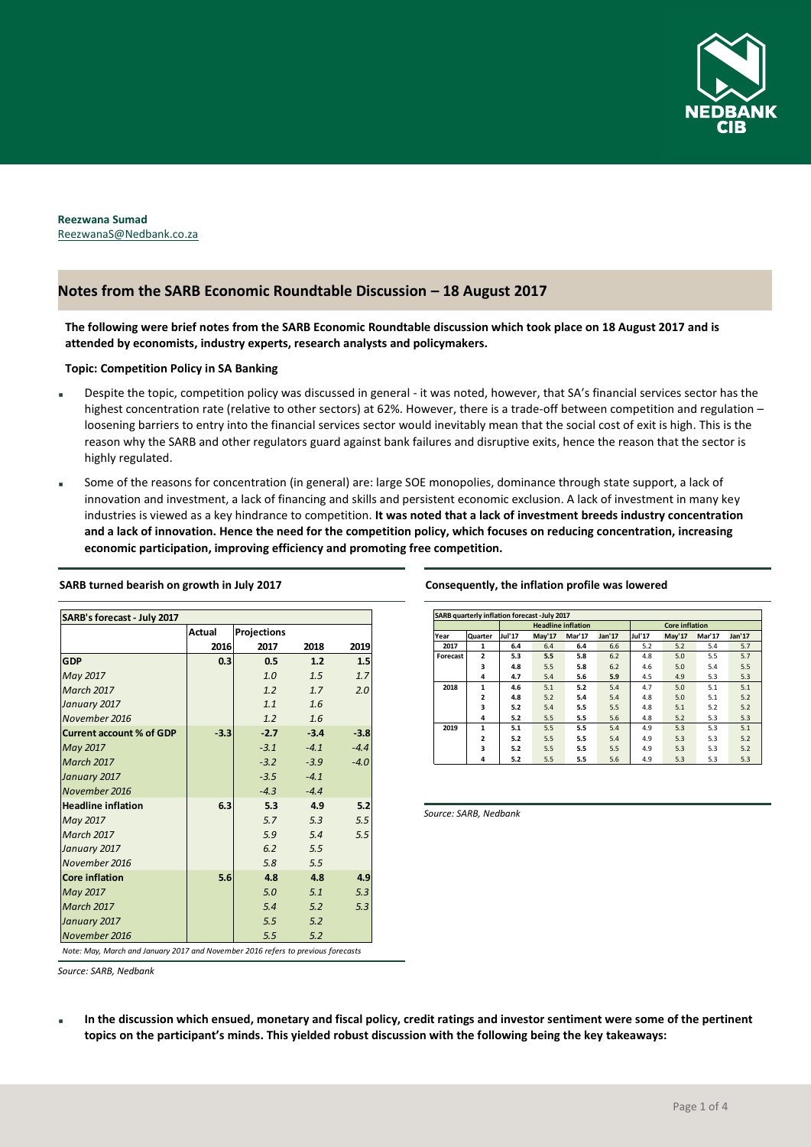

**Reezwana Sumad** ReezwanaS@Nedbank.co.za

# **Notes from the SARB Economic Roundtable Discussion – 18 August 2017**

**The following were brief notes from the SARB Economic Roundtable discussion which took place on 18 August 2017 and is attended by economists, industry experts, research analysts and policymakers.** 

**Topic: Competition Policy in SA Banking**

- Despite the topic, competition policy was discussed in general it was noted, however, that SA's financial services sector has the highest concentration rate (relative to other sectors) at 62%. However, there is a trade-off between competition and regulation – loosening barriers to entry into the financial services sector would inevitably mean that the social cost of exit is high. This is the reason why the SARB and other regulators guard against bank failures and disruptive exits, hence the reason that the sector is highly regulated.
- Some of the reasons for concentration (in general) are: large SOE monopolies, dominance through state support, a lack of innovation and investment, a lack of financing and skills and persistent economic exclusion. A lack of investment in many key industries is viewed as a key hindrance to competition. **It was noted that a lack of investment breeds industry concentration and a lack of innovation. Hence the need for the competition policy, which focuses on reducing concentration, increasing economic participation, improving efficiency and promoting free competition.**

| <b>SARB's forecast - July 2017</b> |               |             |        |        |  |  |  |  |  |  |
|------------------------------------|---------------|-------------|--------|--------|--|--|--|--|--|--|
|                                    | <b>Actual</b> | Projections |        |        |  |  |  |  |  |  |
|                                    | 2016          | 2017        | 2018   | 2019   |  |  |  |  |  |  |
| <b>GDP</b>                         | 0.3           | 0.5         | 1.2    | 1.5    |  |  |  |  |  |  |
| May 2017                           |               | 1.0         | 1.5    | 1.7    |  |  |  |  |  |  |
| <b>March 2017</b>                  |               | 1.2         | 1.7    | 2.0    |  |  |  |  |  |  |
| January 2017                       |               | 1.1         | 1.6    |        |  |  |  |  |  |  |
| November 2016                      |               | 1.2         | 1.6    |        |  |  |  |  |  |  |
| <b>Current account % of GDP</b>    | $-3.3$        | $-2.7$      | $-3.4$ | $-3.8$ |  |  |  |  |  |  |
| May 2017                           |               | $-3.1$      | $-4.1$ | $-4.4$ |  |  |  |  |  |  |
| <b>March 2017</b>                  |               | $-3.2$      | $-3.9$ | $-4.0$ |  |  |  |  |  |  |
| January 2017                       |               | $-3.5$      | $-4.1$ |        |  |  |  |  |  |  |
| November 2016                      |               | $-4.3$      | $-4.4$ |        |  |  |  |  |  |  |
| <b>Headline inflation</b>          | 6.3           | 5.3         | 4.9    | 5.2    |  |  |  |  |  |  |
| May 2017                           |               | 5.7         | 5.3    | 5.5    |  |  |  |  |  |  |
| <b>March 2017</b>                  |               | 5.9         | 5.4    | 5.5    |  |  |  |  |  |  |
| January 2017                       |               | 6.2         | 5.5    |        |  |  |  |  |  |  |
| November 2016                      |               | 5.8         | 5.5    |        |  |  |  |  |  |  |
| <b>Core inflation</b>              | 5.6           | 4.8         | 4.8    | 4.9    |  |  |  |  |  |  |
| May 2017                           |               | 5.0         | 5.1    | 5.3    |  |  |  |  |  |  |
| <b>March 2017</b>                  |               | 5.4         | 5.2    | 5.3    |  |  |  |  |  |  |
| January 2017                       |               | 5.5         | 5.2    |        |  |  |  |  |  |  |
| November 2016                      |               | 5.5         | 5.2    |        |  |  |  |  |  |  |

**SARB turned bearish on growth in July 2017**

### **Consequently, the inflation profile was lowered**

| <b>SARB quarterly inflation forecast -July 2017</b> |                |                           |        |        |                       |        |        |        |        |
|-----------------------------------------------------|----------------|---------------------------|--------|--------|-----------------------|--------|--------|--------|--------|
|                                                     |                | <b>Headline inflation</b> |        |        | <b>Core inflation</b> |        |        |        |        |
| Year                                                | Quarter        | Jul'17                    | May'17 | Mar'17 | Jan'17                | Jul'17 | May'17 | Mar'17 | Jan'17 |
| 2017                                                | 1              | 6.4                       | 6.4    | 6.4    | 6.6                   | 5.2    | 5.2    | 5.4    | 5.7    |
| Forecast                                            | $\overline{2}$ | 5.3                       | 5.5    | 5.8    | 6.2                   | 4.8    | 5.0    | 5.5    | 5.7    |
|                                                     | 3              | 4.8                       | 5.5    | 5.8    | 6.2                   | 4.6    | 5.0    | 5.4    | 5.5    |
|                                                     | 4              | 4.7                       | 5.4    | 5.6    | 5.9                   | 4.5    | 4.9    | 5.3    | 5.3    |
| 2018                                                | 1              | 4.6                       | 5.1    | 5.2    | 5.4                   | 4.7    | 5.0    | 5.1    | 5.1    |
|                                                     | $\overline{2}$ | 4.8                       | 5.2    | 5.4    | 5.4                   | 4.8    | 5.0    | 5.1    | 5.2    |
|                                                     | 3              | 5.2                       | 5.4    | 5.5    | 5.5                   | 4.8    | 5.1    | 5.2    | 5.2    |
|                                                     | 4              | 5.2                       | 5.5    | 5.5    | 5.6                   | 4.8    | 5.2    | 5.3    | 5.3    |
| 2019                                                | 1              | 5.1                       | 5.5    | 5.5    | 5.4                   | 4.9    | 5.3    | 5.3    | 5.1    |
|                                                     | $\overline{a}$ | 5.2                       | 5.5    | 5.5    | 5.4                   | 4.9    | 5.3    | 5.3    | 5.2    |
|                                                     | 3              | 5.2                       | 5.5    | 5.5    | 5.5                   | 4.9    | 5.3    | 5.3    | 5.2    |
|                                                     | 4              | 5.2                       | 5.5    | 5.5    | 5.6                   | 4.9    | 5.3    | 5.3    | 5.3    |

*Source: SARB, Nedbank*

*Note: May, March and January 2017 and November 2016 refers to previous forecasts*

*Source: SARB, Nedbank*

 **In the discussion which ensued, monetary and fiscal policy, credit ratings and investor sentiment were some of the pertinent topics on the participant's minds. This yielded robust discussion with the following being the key takeaways:**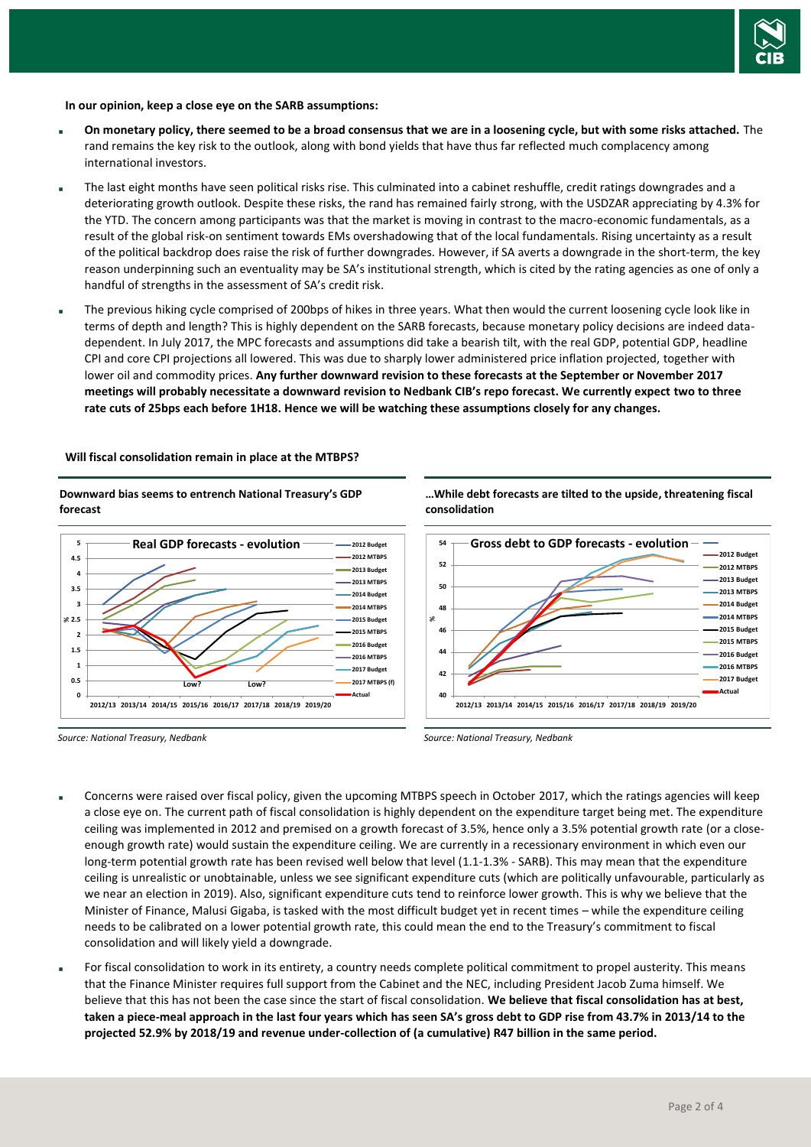

#### **In our opinion, keep a close eye on the SARB assumptions:**

- **On monetary policy, there seemed to be a broad consensus that we are in a loosening cycle, but with some risks attached.** The rand remains the key risk to the outlook, along with bond yields that have thus far reflected much complacency among international investors.
- The last eight months have seen political risks rise. This culminated into a cabinet reshuffle, credit ratings downgrades and a deteriorating growth outlook. Despite these risks, the rand has remained fairly strong, with the USDZAR appreciating by 4.3% for the YTD. The concern among participants was that the market is moving in contrast to the macro-economic fundamentals, as a result of the global risk-on sentiment towards EMs overshadowing that of the local fundamentals. Rising uncertainty as a result of the political backdrop does raise the risk of further downgrades. However, if SA averts a downgrade in the short-term, the key reason underpinning such an eventuality may be SA's institutional strength, which is cited by the rating agencies as one of only a handful of strengths in the assessment of SA's credit risk.
- The previous hiking cycle comprised of 200bps of hikes in three years. What then would the current loosening cycle look like in terms of depth and length? This is highly dependent on the SARB forecasts, because monetary policy decisions are indeed datadependent. In July 2017, the MPC forecasts and assumptions did take a bearish tilt, with the real GDP, potential GDP, headline CPI and core CPI projections all lowered. This was due to sharply lower administered price inflation projected, together with lower oil and commodity prices. **Any further downward revision to these forecasts at the September or November 2017 meetings will probably necessitate a downward revision to Nedbank CIB's repo forecast. We currently expect two to three rate cuts of 25bps each before 1H18. Hence we will be watching these assumptions closely for any changes.**

#### **Will fiscal consolidation remain in place at the MTBPS?**

**Downward bias seems to entrench National Treasury's GDP forecast**



*Source: National Treasury, Nedbank*

**…While debt forecasts are tilted to the upside, threatening fiscal consolidation**



*Source: National Treasury, Nedbank*

- Concerns were raised over fiscal policy, given the upcoming MTBPS speech in October 2017, which the ratings agencies will keep a close eye on. The current path of fiscal consolidation is highly dependent on the expenditure target being met. The expenditure ceiling was implemented in 2012 and premised on a growth forecast of 3.5%, hence only a 3.5% potential growth rate (or a closeenough growth rate) would sustain the expenditure ceiling. We are currently in a recessionary environment in which even our long-term potential growth rate has been revised well below that level (1.1-1.3% - SARB). This may mean that the expenditure ceiling is unrealistic or unobtainable, unless we see significant expenditure cuts (which are politically unfavourable, particularly as we near an election in 2019). Also, significant expenditure cuts tend to reinforce lower growth. This is why we believe that the Minister of Finance, Malusi Gigaba, is tasked with the most difficult budget yet in recent times – while the expenditure ceiling needs to be calibrated on a lower potential growth rate, this could mean the end to the Treasury's commitment to fiscal consolidation and will likely yield a downgrade.
- For fiscal consolidation to work in its entirety, a country needs complete political commitment to propel austerity. This means that the Finance Minister requires full support from the Cabinet and the NEC, including President Jacob Zuma himself. We believe that this has not been the case since the start of fiscal consolidation. **We believe that fiscal consolidation has at best, taken a piece-meal approach in the last four years which has seen SA's gross debt to GDP rise from 43.7% in 2013/14 to the projected 52.9% by 2018/19 and revenue under-collection of (a cumulative) R47 billion in the same period.**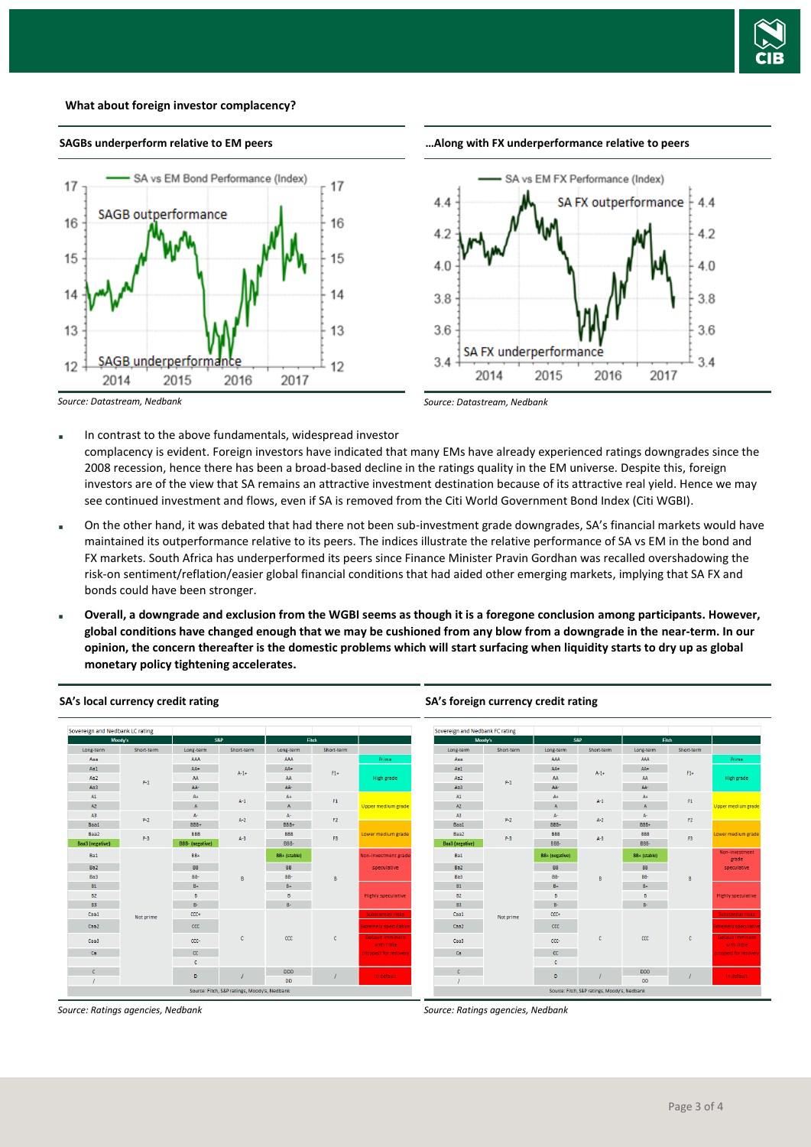

#### **What about foreign investor complacency?**



## **SAGBs underperform relative to EM peers**





*Source: Datastream, Nedbank*

*Source: Datastream, Nedbank*

- In contrast to the above fundamentals, widespread investor complacency is evident. Foreign investors have indicated that many EMs have already experienced ratings downgrades since the 2008 recession, hence there has been a broad-based decline in the ratings quality in the EM universe. Despite this, foreign investors are of the view that SA remains an attractive investment destination because of its attractive real yield. Hence we may see continued investment and flows, even if SA is removed from the Citi World Government Bond Index (Citi WGBI).
- On the other hand, it was debated that had there not been sub-investment grade downgrades, SA's financial markets would have maintained its outperformance relative to its peers. The indices illustrate the relative performance of SA vs EM in the bond and FX markets. South Africa has underperformed its peers since Finance Minister Pravin Gordhan was recalled overshadowing the risk-on sentiment/reflation/easier global financial conditions that had aided other emerging markets, implying that SA FX and bonds could have been stronger.
- **Overall, a downgrade and exclusion from the WGBI seems as though it is a foregone conclusion among participants. However, global conditions have changed enough that we may be cushioned from any blow from a downgrade in the near-term. In our opinion, the concern thereafter is the domestic problems which will start surfacing when liquidity starts to dry up as global monetary policy tightening accelerates.**



#### **SA's local currency credit rating**

*Source: Ratings agencies, Nedbank*

**SA's foreign currency credit rating**